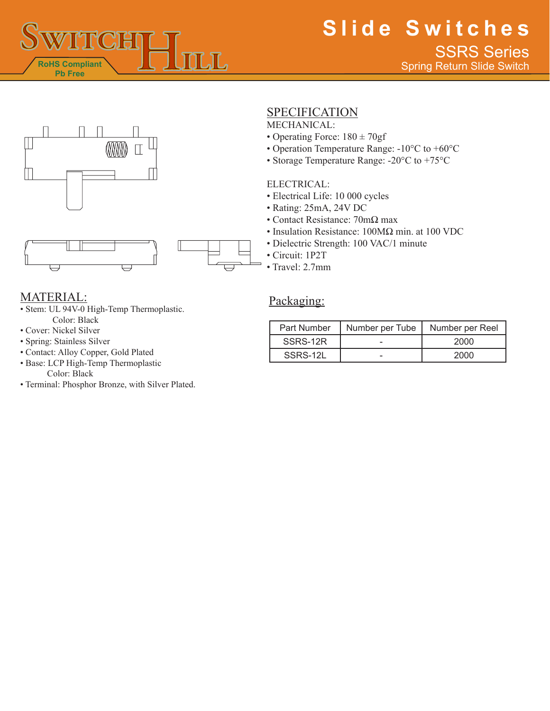





## **SPECIFICATION**

MECHANICAL:

- Operating Force:  $180 \pm 70$ gf
- Operation Temperature Range: -10°C to +60°C
- Storage Temperature Range: -20°C to +75°C

### ELECTRICAL:

- Electrical Life: 10 000 cycles
- Rating: 25mA, 24V DC
- Contact Resistance: 70mΩ max
- Insulation Resistance: 100MΩ min. at 100 VDC
- Dielectric Strength: 100 VAC/1 minute
- Circuit: 1P2T
- Travel: 2.7mm

### MATERIAL:

- Stem: UL 94V-0 High-Temp Thermoplastic. Color: Black
- Cover: Nickel Silver
- Spring: Stainless Silver
- Contact: Alloy Copper, Gold Plated
- Base: LCP High-Temp Thermoplastic Color: Black
- Terminal: Phosphor Bronze, with Silver Plated.

### Packaging:

| Part Number | Number per Tube | Number per Reel |
|-------------|-----------------|-----------------|
| SSRS-12R    |                 | 2000            |
| SSRS-12L    |                 | 2000            |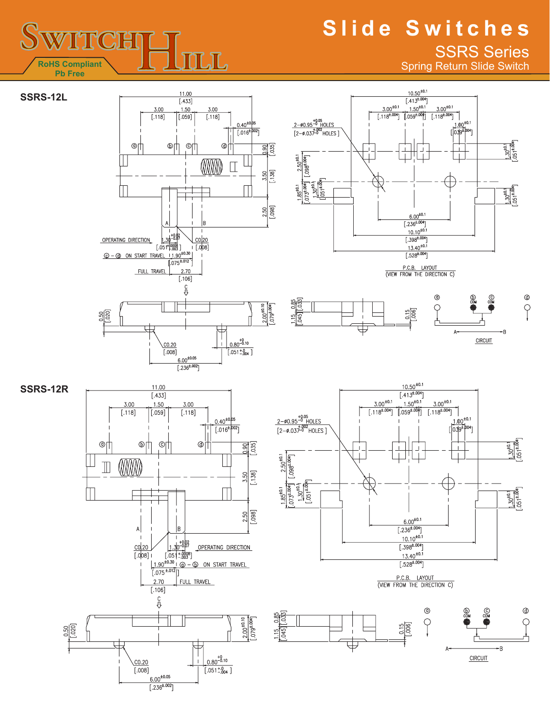# **Slide Switches** SSRS Series

Spring Return Slide Switch

 $+0.1$  $\frac{1.00^{+0.1}}{[\sqrt{0.30^{+}}]^{0.4}}$ 

 $\overline{1}$ 

 $^{\circ}$ 

 $\frac{1.30^{40.1}}{0.051^{4.004}}$ 

 $\frac{1.30^{40.1}}{0.051^{4.004}}$ 

 $^\circledR$ 

 $\varphi$ 

**CIRCUIT** 







**SSRS-12L**





P.C.B. LAYOUT<br>(VIEW FROM THE DIRECTION C)

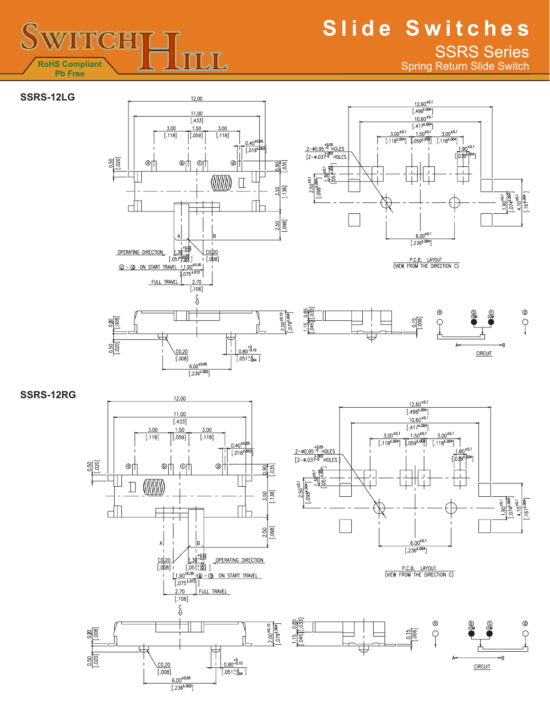

# **Slide Switches** SSRS Series

Spring Return Slide Switch











**SSRS-12RG**





P.C.B. LAYOUT<br>(VIEW FROM THE DIRECTION C)